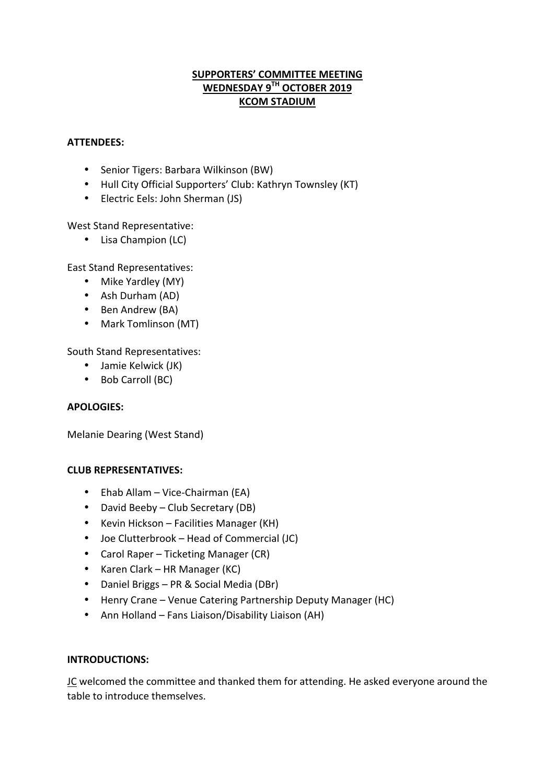## **SUPPORTERS' COMMITTEE MEETING WEDNESDAY 9TH OCTOBER 2019 KCOM STADIUM**

#### **ATTENDEES:**

- Senior Tigers: Barbara Wilkinson (BW)
- Hull City Official Supporters' Club: Kathryn Townsley (KT)
- Electric Eels: John Sherman (JS)

West Stand Representative:

• Lisa Champion (LC)

East Stand Representatives:

- Mike Yardley (MY)
- Ash Durham (AD)
- Ben Andrew (BA)
- Mark Tomlinson (MT)

South Stand Representatives:

- Jamie Kelwick (JK)
- Bob Carroll (BC)

#### **APOLOGIES:**

Melanie Dearing (West Stand)

#### **CLUB REPRESENTATIVES:**

- Ehab Allam Vice-Chairman (EA)
- David Beeby Club Secretary (DB)
- Kevin Hickson Facilities Manager (KH)
- Joe Clutterbrook Head of Commercial (JC)
- Carol Raper Ticketing Manager (CR)
- Karen Clark HR Manager (KC)
- Daniel Briggs PR & Social Media (DBr)
- Henry Crane Venue Catering Partnership Deputy Manager (HC)
- Ann Holland Fans Liaison/Disability Liaison (AH)

## **INTRODUCTIONS:**

JC welcomed the committee and thanked them for attending. He asked everyone around the table to introduce themselves.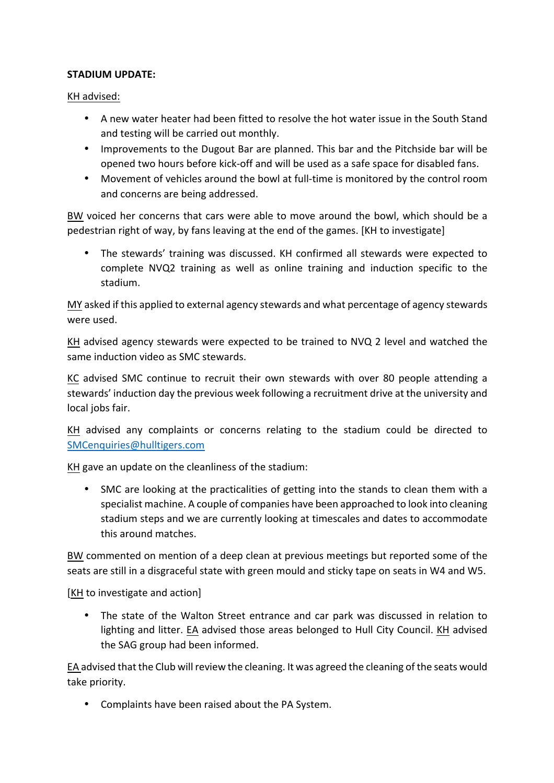### **STADIUM UPDATE:**

KH advised:

- A new water heater had been fitted to resolve the hot water issue in the South Stand and testing will be carried out monthly.
- Improvements to the Dugout Bar are planned. This bar and the Pitchside bar will be opened two hours before kick-off and will be used as a safe space for disabled fans.
- Movement of vehicles around the bowl at full-time is monitored by the control room and concerns are being addressed.

BW voiced her concerns that cars were able to move around the bowl, which should be a pedestrian right of way, by fans leaving at the end of the games. [KH to investigate]

• The stewards' training was discussed. KH confirmed all stewards were expected to complete NVQ2 training as well as online training and induction specific to the stadium. 

MY asked if this applied to external agency stewards and what percentage of agency stewards were used.

KH advised agency stewards were expected to be trained to NVQ 2 level and watched the same induction video as SMC stewards.

KC advised SMC continue to recruit their own stewards with over 80 people attending a stewards' induction day the previous week following a recruitment drive at the university and local iobs fair.

KH advised any complaints or concerns relating to the stadium could be directed to SMCenquiries@hulltigers.com

KH gave an update on the cleanliness of the stadium:

SMC are looking at the practicalities of getting into the stands to clean them with a specialist machine. A couple of companies have been approached to look into cleaning stadium steps and we are currently looking at timescales and dates to accommodate this around matches.

BW commented on mention of a deep clean at previous meetings but reported some of the seats are still in a disgraceful state with green mould and sticky tape on seats in W4 and W5.

[KH to investigate and action]

• The state of the Walton Street entrance and car park was discussed in relation to lighting and litter. EA advised those areas belonged to Hull City Council. KH advised the SAG group had been informed.

EA advised that the Club will review the cleaning. It was agreed the cleaning of the seats would take priority.

• Complaints have been raised about the PA System.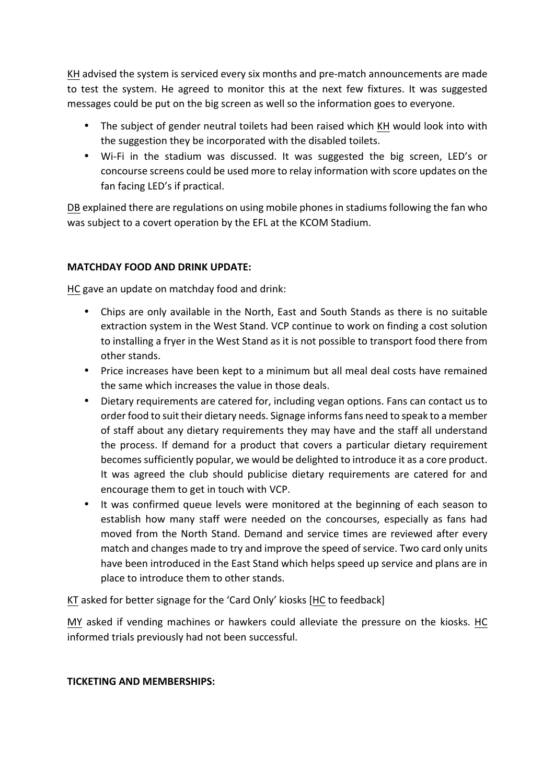KH advised the system is serviced every six months and pre-match announcements are made to test the system. He agreed to monitor this at the next few fixtures. It was suggested messages could be put on the big screen as well so the information goes to everyone.

- The subject of gender neutral toilets had been raised which KH would look into with the suggestion they be incorporated with the disabled toilets.
- Wi-Fi in the stadium was discussed. It was suggested the big screen, LED's or concourse screens could be used more to relay information with score updates on the fan facing LED's if practical.

DB explained there are regulations on using mobile phones in stadiums following the fan who was subject to a covert operation by the EFL at the KCOM Stadium.

# **MATCHDAY FOOD AND DRINK UPDATE:**

HC gave an update on matchday food and drink:

- Chips are only available in the North, East and South Stands as there is no suitable extraction system in the West Stand. VCP continue to work on finding a cost solution to installing a fryer in the West Stand as it is not possible to transport food there from other stands.
- Price increases have been kept to a minimum but all meal deal costs have remained the same which increases the value in those deals.
- Dietary requirements are catered for, including vegan options. Fans can contact us to order food to suit their dietary needs. Signage informs fans need to speak to a member of staff about any dietary requirements they may have and the staff all understand the process. If demand for a product that covers a particular dietary requirement becomes sufficiently popular, we would be delighted to introduce it as a core product. It was agreed the club should publicise dietary requirements are catered for and encourage them to get in touch with VCP.
- It was confirmed queue levels were monitored at the beginning of each season to establish how many staff were needed on the concourses, especially as fans had moved from the North Stand. Demand and service times are reviewed after every match and changes made to try and improve the speed of service. Two card only units have been introduced in the East Stand which helps speed up service and plans are in place to introduce them to other stands.

KT asked for better signage for the 'Card Only' kiosks [HC to feedback]

MY asked if vending machines or hawkers could alleviate the pressure on the kiosks. HC informed trials previously had not been successful.

## **TICKETING AND MEMBERSHIPS:**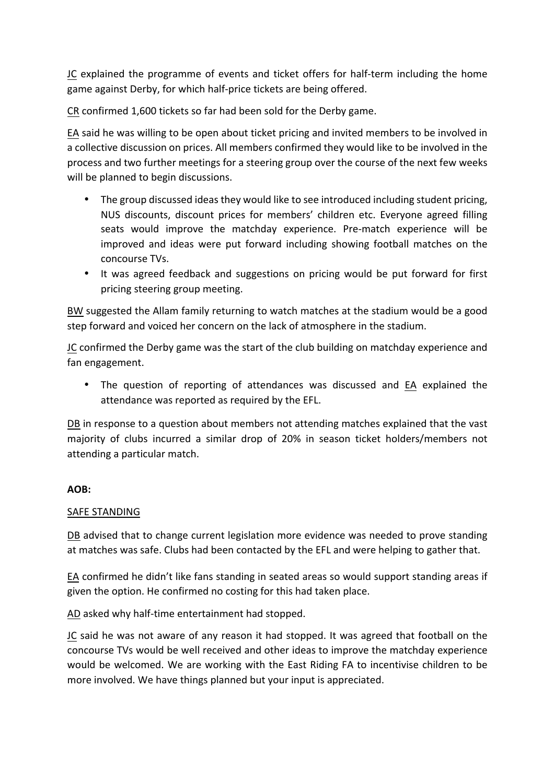JC explained the programme of events and ticket offers for half-term including the home game against Derby, for which half-price tickets are being offered.

CR confirmed 1,600 tickets so far had been sold for the Derby game.

EA said he was willing to be open about ticket pricing and invited members to be involved in a collective discussion on prices. All members confirmed they would like to be involved in the process and two further meetings for a steering group over the course of the next few weeks will be planned to begin discussions.

- The group discussed ideas they would like to see introduced including student pricing, NUS discounts, discount prices for members' children etc. Everyone agreed filling seats would improve the matchday experience. Pre-match experience will be improved and ideas were put forward including showing football matches on the concourse TVs.
- It was agreed feedback and suggestions on pricing would be put forward for first pricing steering group meeting.

BW suggested the Allam family returning to watch matches at the stadium would be a good step forward and voiced her concern on the lack of atmosphere in the stadium.

JC confirmed the Derby game was the start of the club building on matchday experience and fan engagement.

The question of reporting of attendances was discussed and EA explained the attendance was reported as required by the EFL.

DB in response to a question about members not attending matches explained that the vast majority of clubs incurred a similar drop of 20% in season ticket holders/members not attending a particular match.

## **AOB:**

## SAFE STANDING

DB advised that to change current legislation more evidence was needed to prove standing at matches was safe. Clubs had been contacted by the EFL and were helping to gather that.

EA confirmed he didn't like fans standing in seated areas so would support standing areas if given the option. He confirmed no costing for this had taken place.

AD asked why half-time entertainment had stopped.

JC said he was not aware of any reason it had stopped. It was agreed that football on the concourse TVs would be well received and other ideas to improve the matchday experience would be welcomed. We are working with the East Riding FA to incentivise children to be more involved. We have things planned but your input is appreciated.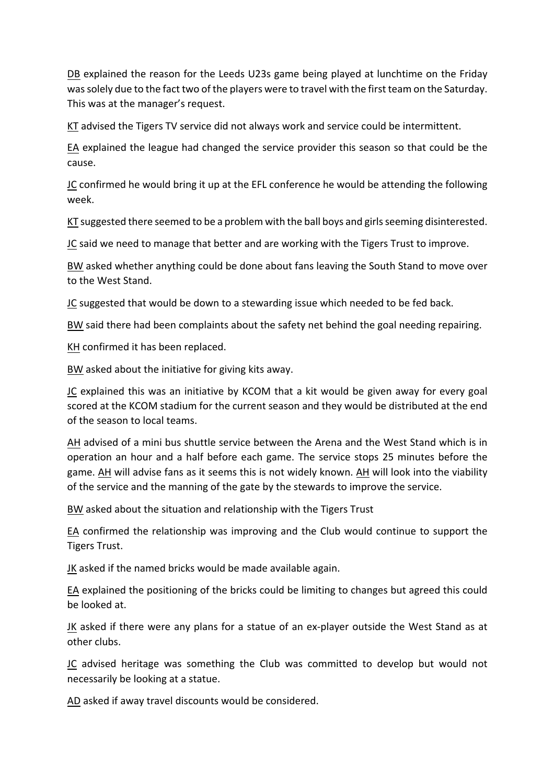DB explained the reason for the Leeds U23s game being played at lunchtime on the Friday was solely due to the fact two of the players were to travel with the first team on the Saturday. This was at the manager's request.

 $KT$  advised the Tigers TV service did not always work and service could be intermittent.

EA explained the league had changed the service provider this season so that could be the cause. 

JC confirmed he would bring it up at the EFL conference he would be attending the following week.

KT suggested there seemed to be a problem with the ball boys and girls seeming disinterested.

JC said we need to manage that better and are working with the Tigers Trust to improve.

BW asked whether anything could be done about fans leaving the South Stand to move over to the West Stand.

JC suggested that would be down to a stewarding issue which needed to be fed back.

BW said there had been complaints about the safety net behind the goal needing repairing.

KH confirmed it has been replaced.

BW asked about the initiative for giving kits away.

JC explained this was an initiative by KCOM that a kit would be given away for every goal scored at the KCOM stadium for the current season and they would be distributed at the end of the season to local teams.

AH advised of a mini bus shuttle service between the Arena and the West Stand which is in operation an hour and a half before each game. The service stops 25 minutes before the game. AH will advise fans as it seems this is not widely known. AH will look into the viability of the service and the manning of the gate by the stewards to improve the service.

BW asked about the situation and relationship with the Tigers Trust

EA confirmed the relationship was improving and the Club would continue to support the Tigers Trust.

JK asked if the named bricks would be made available again.

EA explained the positioning of the bricks could be limiting to changes but agreed this could be looked at.

JK asked if there were any plans for a statue of an ex-player outside the West Stand as at other clubs.

JC advised heritage was something the Club was committed to develop but would not necessarily be looking at a statue.

AD asked if away travel discounts would be considered.